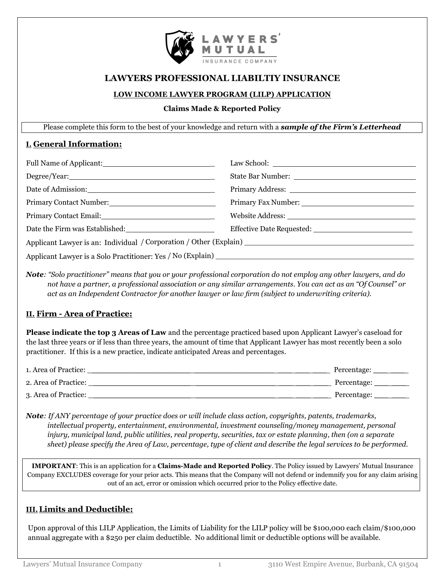

# **LAWYERS PROFESSIONAL LIABILTIY INSURANCE**

#### **LOW INCOME LAWYER PROGRAM (LILP) APPLICATION**

#### **Claims Made & Reported Policy**

Please complete this form to the best of your knowledge and return with a *sample of the Firm's Letterhead*

## **I. General Information:**

| Date of Admission: 2000 and 2000 and 2000 and 2000 and 2000 and 2000 and 2000 and 2000 and 2000 and 2000 and 20 |  |  |  |  |
|-----------------------------------------------------------------------------------------------------------------|--|--|--|--|
| Primary Contact Number: 2008 2010 12:00 12:00 12:00 12:00 12:00 12:00 12:00 12:00 12:00 12:00 12:00 12:00 12:0  |  |  |  |  |
| Primary Contact Email: National Contract Email:                                                                 |  |  |  |  |
| Date the Firm was Established: Name of the Second Lines.                                                        |  |  |  |  |
|                                                                                                                 |  |  |  |  |
|                                                                                                                 |  |  |  |  |

*Note: "Solo practitioner" means that you or your professional corporation do not employ any other lawyers, and do not have a partner, a professional association or any similar arrangements. You can act as an "Of Counsel" or act as an Independent Contractor for another lawyer or law firm (subject to underwriting criteria).*

## **II. Firm - Area of Practice:**

**Please indicate the top 3 Areas of Law** and the percentage practiced based upon Applicant Lawyer's caseload for the last three years or if less than three years, the amount of time that Applicant Lawyer has most recently been a solo practitioner. If this is a new practice, indicate anticipated Areas and percentages.

| 1. Area of Practice: | Percentage: |
|----------------------|-------------|
| 2. Area of Practice: | Percentage: |
| 3. Area of Practice: | Percentage: |

*Note: If ANY percentage of your practice does or will include class action, copyrights, patents, trademarks, intellectual property, entertainment, environmental, investment counseling/money management, personal injury, municipal land, public utilities, real property, securities, tax or estate planning, then (on a separate sheet) please specify the Area of Law, percentage, type of client and describe the legal services to be performed.*

**IMPORTANT**: This is an application for a **Claims-Made and Reported Policy**. The Policy issued by Lawyers' Mutual Insurance Company EXCLUDES coverage for your prior acts. This means that the Company will not defend or indemnify you for any claim arising out of an act, error or omission which occurred prior to the Policy effective date.

## **III.Limits and Deductible:**

Upon approval of this LILP Application, the Limits of Liability for the LILP policy will be \$100,000 each claim/\$100,000 annual aggregate with a \$250 per claim deductible. No additional limit or deductible options will be available.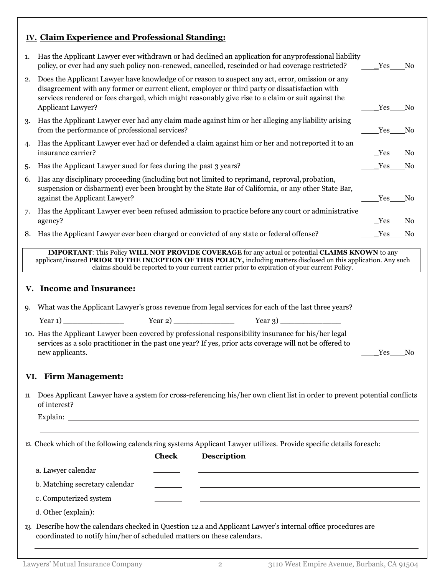# **IV. Claim Experience and Professional Standing:**

| 1.                                                                                                                                                                                                                                                                                                                             | Has the Applicant Lawyer ever withdrawn or had declined an application for any professional liability<br>policy, or ever had any such policy non-renewed, cancelled, rescinded or had coverage restricted?                                                                                                                            | Yes        | No. |  |  |  |
|--------------------------------------------------------------------------------------------------------------------------------------------------------------------------------------------------------------------------------------------------------------------------------------------------------------------------------|---------------------------------------------------------------------------------------------------------------------------------------------------------------------------------------------------------------------------------------------------------------------------------------------------------------------------------------|------------|-----|--|--|--|
| 2.                                                                                                                                                                                                                                                                                                                             | Does the Applicant Lawyer have knowledge of or reason to suspect any act, error, omission or any<br>disagreement with any former or current client, employer or third party or dissatisfaction with<br>services rendered or fees charged, which might reasonably give rise to a claim or suit against the<br><b>Applicant Lawyer?</b> | Yes        | No  |  |  |  |
| 3.                                                                                                                                                                                                                                                                                                                             | Has the Applicant Lawyer ever had any claim made against him or her alleging any liability arising<br>from the performance of professional services?                                                                                                                                                                                  | <b>Yes</b> | No  |  |  |  |
| 4.                                                                                                                                                                                                                                                                                                                             | Has the Applicant Lawyer ever had or defended a claim against him or her and not reported it to an<br>insurance carrier?                                                                                                                                                                                                              | Yes        | No  |  |  |  |
| 5.                                                                                                                                                                                                                                                                                                                             | Has the Applicant Lawyer sued for fees during the past 3 years?                                                                                                                                                                                                                                                                       | <b>Yes</b> | No. |  |  |  |
| 6.                                                                                                                                                                                                                                                                                                                             | Has any disciplinary proceeding (including but not limited to reprimand, reproval, probation,<br>suspension or disbarment) ever been brought by the State Bar of California, or any other State Bar,<br>against the Applicant Lawyer?                                                                                                 | <b>Yes</b> | No  |  |  |  |
| 7.                                                                                                                                                                                                                                                                                                                             | Has the Applicant Lawyer ever been refused admission to practice before any court or administrative<br>agency?                                                                                                                                                                                                                        | Yes        | No  |  |  |  |
| 8.                                                                                                                                                                                                                                                                                                                             | Has the Applicant Lawyer ever been charged or convicted of any state or federal offense?                                                                                                                                                                                                                                              | Yes        | No  |  |  |  |
| <b>IMPORTANT:</b> This Policy WILL NOT PROVIDE COVERAGE for any actual or potential CLAIMS KNOWN to any<br>applicant/insured PRIOR TO THE INCEPTION OF THIS POLICY, including matters disclosed on this application. Any such<br>claims should be reported to your current carrier prior to expiration of your current Policy. |                                                                                                                                                                                                                                                                                                                                       |            |     |  |  |  |
| <u>v.</u>                                                                                                                                                                                                                                                                                                                      | <b>Income and Insurance:</b>                                                                                                                                                                                                                                                                                                          |            |     |  |  |  |
| 9.                                                                                                                                                                                                                                                                                                                             | What was the Applicant Lawyer's gross revenue from legal services for each of the last three years?                                                                                                                                                                                                                                   |            |     |  |  |  |
|                                                                                                                                                                                                                                                                                                                                |                                                                                                                                                                                                                                                                                                                                       |            |     |  |  |  |
|                                                                                                                                                                                                                                                                                                                                | 10. Has the Applicant Lawyer been covered by professional responsibility insurance for his/her legal<br>services as a solo practitioner in the past one year? If yes, prior acts coverage will not be offered to<br>new applicants.<br>Yes<br>No                                                                                      |            |     |  |  |  |
| <u>VI.</u>                                                                                                                                                                                                                                                                                                                     | <u>Firm Management:</u>                                                                                                                                                                                                                                                                                                               |            |     |  |  |  |
| 11.                                                                                                                                                                                                                                                                                                                            | Does Applicant Lawyer have a system for cross-referencing his/her own client list in order to prevent potential conflicts<br>of interest?                                                                                                                                                                                             |            |     |  |  |  |
| 12. Check which of the following calendaring systems Applicant Lawyer utilizes. Provide specific details foreach:<br><b>Description</b><br><b>Check</b>                                                                                                                                                                        |                                                                                                                                                                                                                                                                                                                                       |            |     |  |  |  |
|                                                                                                                                                                                                                                                                                                                                | a. Lawyer calendar                                                                                                                                                                                                                                                                                                                    |            |     |  |  |  |
|                                                                                                                                                                                                                                                                                                                                | b. Matching secretary calendar<br>and the control of the control of the control of the control of the control of the control of the control of the                                                                                                                                                                                    |            |     |  |  |  |
|                                                                                                                                                                                                                                                                                                                                | c. Computerized system                                                                                                                                                                                                                                                                                                                |            |     |  |  |  |
|                                                                                                                                                                                                                                                                                                                                |                                                                                                                                                                                                                                                                                                                                       |            |     |  |  |  |
|                                                                                                                                                                                                                                                                                                                                | 13. Describe how the calendars checked in Question 12.a and Applicant Lawyer's internal office procedures are<br>coordinated to notify him/her of scheduled matters on these calendars.                                                                                                                                               |            |     |  |  |  |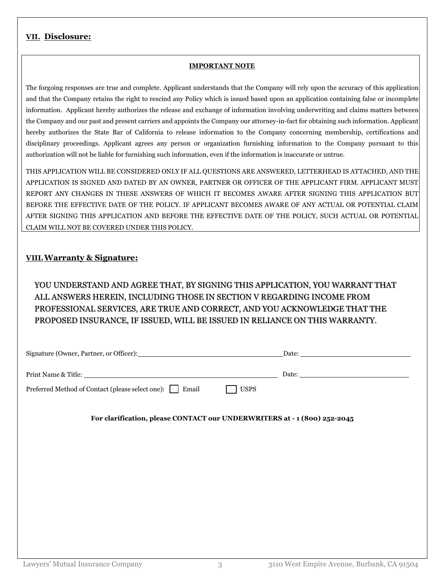## **VII. Disclosure:**

#### **IMPORTANT NOTE**

The forgoing responses are true and complete. Applicant understands that the Company will rely upon the accuracy of this application and that the Company retains the right to rescind any Policy which is issued based upon an application containing false or incomplete information. Applicant hereby authorizes the release and exchange of information involving underwriting and claims matters between the Company and our past and present carriers and appoints the Company our attorney-in-fact for obtaining such information. Applicant hereby authorizes the State Bar of California to release information to the Company concerning membership, certifications and disciplinary proceedings. Applicant agrees any person or organization furnishing information to the Company pursuant to this authorization will not be liable for furnishing such information, even if the information is inaccurate or untrue.

THIS APPLICATION WILL BE CONSIDERED ONLY IF ALL QUESTIONS ARE ANSWERED, LETTERHEAD IS ATTACHED, AND THE APPLICATION IS SIGNED AND DATED BY AN OWNER, PARTNER OR OFFICER OF THE APPLICANT FIRM. APPLICANT MUST REPORT ANY CHANGES IN THESE ANSWERS OF WHICH IT BECOMES AWARE AFTER SIGNING THIS APPLICATION BUT BEFORE THE EFFECTIVE DATE OF THE POLICY. IF APPLICANT BECOMES AWARE OF ANY ACTUAL OR POTENTIAL CLAIM AFTER SIGNING THIS APPLICATION AND BEFORE THE EFFECTIVE DATE OF THE POLICY, SUCH ACTUAL OR POTENTIAL CLAIM WILL NOT BE COVERED UNDER THIS POLICY.

#### **VIII.Warranty & Signature:**

YOU UNDERSTAND AND AGREE THAT, BY SIGNING THIS APPLICATION, YOU WARRANT THAT ALL ANSWERS HEREIN, INCLUDING THOSE IN SECTION V REGARDING INCOME FROM PROFESSIONAL SERVICES, ARE TRUE AND CORRECT, AND YOU ACKNOWLEDGE THAT THE PROPOSED INSURANCE, IF ISSUED, WILL BE ISSUED IN RELIANCE ON THIS WARRANTY.

|                                                                                                              | Date: 2008 and 2008 and 2008 and 2008 and 2008 and 2008 and 2008 and 2008 and 2008 and 2008 and 2008 and 2008 and 2008 and 2008 and 2008 and 2008 and 2008 and 2008 and 2008 and 2008 and 2008 and 2008 and 2008 and 2008 and |  |  |  |
|--------------------------------------------------------------------------------------------------------------|-------------------------------------------------------------------------------------------------------------------------------------------------------------------------------------------------------------------------------|--|--|--|
| Print Name & Title: Name & Title:<br>Preferred Method of Contact (please select one): □ Email<br><b>USPS</b> |                                                                                                                                                                                                                               |  |  |  |
| For clarification, please CONTACT our UNDERWRITERS at - 1 (800) 252-2045                                     |                                                                                                                                                                                                                               |  |  |  |
|                                                                                                              |                                                                                                                                                                                                                               |  |  |  |
|                                                                                                              |                                                                                                                                                                                                                               |  |  |  |